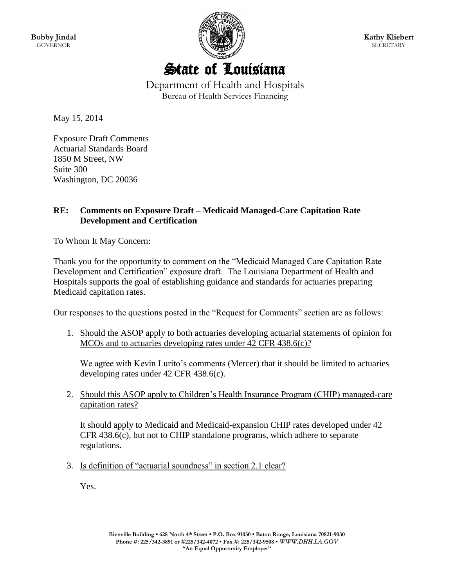**Bobby Jindal GOVERNOR** 



**Kathy Kliebert SECRETARY** 

State of Louisiana Department of Health and Hospitals

Bureau of Health Services Financing

May 15, 2014

Exposure Draft Comments Actuarial Standards Board 1850 M Street, NW Suite 300 Washington, DC 20036

## **RE: Comments on Exposure Draft – Medicaid Managed-Care Capitation Rate Development and Certification**

To Whom It May Concern:

Thank you for the opportunity to comment on the "Medicaid Managed Care Capitation Rate Development and Certification" exposure draft. The Louisiana Department of Health and Hospitals supports the goal of establishing guidance and standards for actuaries preparing Medicaid capitation rates.

Our responses to the questions posted in the "Request for Comments" section are as follows:

1. Should the ASOP apply to both actuaries developing actuarial statements of opinion for MCOs and to actuaries developing rates under 42 CFR 438.6(c)?

We agree with Kevin Lurito's comments (Mercer) that it should be limited to actuaries developing rates under 42 CFR 438.6(c).

2. Should this ASOP apply to Children's Health Insurance Program (CHIP) managed-care capitation rates?

It should apply to Medicaid and Medicaid-expansion CHIP rates developed under 42 CFR 438.6(c), but not to CHIP standalone programs, which adhere to separate regulations.

3. Is definition of "actuarial soundness" in section 2.1 clear?

Yes.